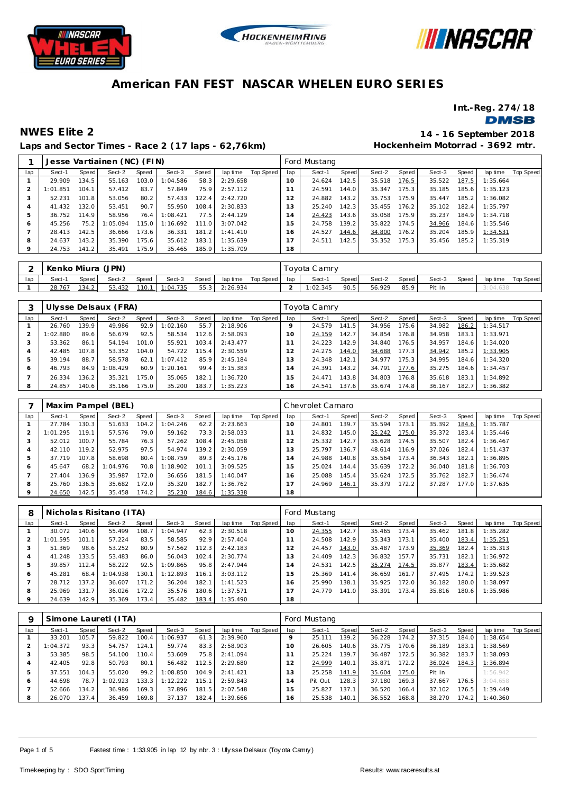





**Int.-Reg. 274/18**

### **DMSB**

## **Laps and Sector Times - Race 2 (17 laps - 62,76km)**

**NWES Elite 2 14 - 16 September 2018 Hockenheim Motorrad - 3692 mtr.**

|     | Jesse Vartiainen (NC) (FIN)<br>Speed<br>Speed<br>Sect-2<br>Speed<br>Sect-3<br>Sect-1<br>lap time<br>103.0<br>1:04.586<br>58.3<br>2:29.658<br>29.909<br>134.5<br>55.163<br>83.7<br>1:01.851<br>104.1<br>57.412<br>75.9<br>2:57.112<br>57.849<br>80.2<br>52.231<br>101.8<br>53.056<br>57.433<br>122.4<br>2:42.720<br>90.7<br>132.0<br>53.451<br>41.432<br>55.950<br>108.4<br>2:30.833 |       |          |       |          |       |          |           |     | Ford Mustang |       |        |       |        |       |          |                  |
|-----|-------------------------------------------------------------------------------------------------------------------------------------------------------------------------------------------------------------------------------------------------------------------------------------------------------------------------------------------------------------------------------------|-------|----------|-------|----------|-------|----------|-----------|-----|--------------|-------|--------|-------|--------|-------|----------|------------------|
| lap |                                                                                                                                                                                                                                                                                                                                                                                     |       |          |       |          |       |          | Top Speed | lap | Sect-1       | Speed | Sect-2 | Speed | Sect-3 | Speed | lap time | <b>Top Speed</b> |
|     |                                                                                                                                                                                                                                                                                                                                                                                     |       |          |       |          |       |          |           | 10  | 24.624       | 142.5 | 35.518 | 176.5 | 35.522 | 187.5 | 1:35.664 |                  |
|     |                                                                                                                                                                                                                                                                                                                                                                                     |       |          |       |          |       |          |           |     | 24.591       | 144.0 | 35.347 | 175.3 | 35.185 | 185.6 | 1:35.123 |                  |
|     |                                                                                                                                                                                                                                                                                                                                                                                     |       |          |       |          |       |          |           | 12  | 24.882       | 143.2 | 35.753 | 175.9 | 35.447 | 185.2 | 1:36.082 |                  |
| 4   |                                                                                                                                                                                                                                                                                                                                                                                     |       |          |       |          |       |          |           | 13  | 25.240       | 142.3 | 35.455 | 176.2 | 35.102 | 182.4 | 1:35.797 |                  |
| 5   | 36.752                                                                                                                                                                                                                                                                                                                                                                              | 114.9 | 58.956   | 76.4  | 1:08.421 | 77.5  | 2:44.129 |           | 14  | 24.423       | 143.6 | 35.058 | 175.9 | 35.237 | 184.9 | 1:34.718 |                  |
| 6   | 45.256                                                                                                                                                                                                                                                                                                                                                                              | 75.2  | 1:05.094 | 115.0 | 1:16.692 | 111.0 | 3:07.042 |           | 15  | 24.758       | 139.2 | 35.822 | 174.5 | 34.966 | 184.6 | 1:35.546 |                  |
|     | 28.413                                                                                                                                                                                                                                                                                                                                                                              | 142.5 | 36.666   | 173.6 | 36.331   | 181.2 | 1:41.410 |           | 16  | 24.527       | 144.6 | 34.800 | 176.2 | 35.204 | 185.9 | 1:34.531 |                  |
| 8   | 24.637                                                                                                                                                                                                                                                                                                                                                                              | 143.2 | 35.390   | 175.6 | 35.612   | 183.1 | 1:35.639 |           | 17  | 24.511       | 142.5 | 35.352 | 175.3 | 35.456 | 185.2 | 1:35.319 |                  |
| 9   | 24.753                                                                                                                                                                                                                                                                                                                                                                              | 141.2 | 35.491   | 175.9 | 35.465   | 185.9 | 1:35.709 |           | 18  |              |       |        |       |        |       |          |                  |

|     | Kenko Miura (JPN) |       |        |       |          |       |          |           |     | Toyota Camry |       |        |       |        |       |          |           |
|-----|-------------------|-------|--------|-------|----------|-------|----------|-----------|-----|--------------|-------|--------|-------|--------|-------|----------|-----------|
| lac | Sect-1            | Speed | Sect-2 | Speed | Sect-3   | Speed | lap time | Top Speed | lap | Sect-1       | Speed | Sect-2 | Speed | Sect-3 | Speed | lap time | Top Speed |
|     | 28.767            | 34.2  | 53.432 | 110.1 | 1:04.735 | 55.3  | 2:26.934 |           |     | 1:02.345     | 90.5  | 56.929 | 85.9  | Pit In |       |          |           |

|     |          |       | Ulysse Delsaux (FRA) |       |          |       |          |           |                 | Toyota Camry |       |        |       |        |       |          |           |
|-----|----------|-------|----------------------|-------|----------|-------|----------|-----------|-----------------|--------------|-------|--------|-------|--------|-------|----------|-----------|
| lap | Sect-1   | Speed | Sect-2               | Speed | Sect-3   | Speed | lap time | Top Speed | lap             | Sect-1       | Speed | Sect-2 | Speed | Sect-3 | Speed | lap time | Top Speed |
|     | 26.760   | 139.9 | 49.986               | 92.9  | 1:02.160 | 55.7  | 2:18.906 |           | Q               | 24.579       | 141.5 | 34.956 | 175.6 | 34.982 | 186.2 | 1:34.517 |           |
|     | 1:02.880 | 89.6  | 56.679               | 92.5  | 58.534   | 112.6 | 2:58.093 |           | 10 <sup>°</sup> | 24.159       | 142.7 | 34.854 | 176.8 | 34.958 | 183.1 | 1:33.971 |           |
|     | 53.362   | 86.1  | 54.194               | 101.0 | 55.921   | 103.4 | 2:43.477 |           |                 | 24.223       | 142.9 | 34.840 | 176.5 | 34.957 | 184.6 | 1:34.020 |           |
|     | 42.485   | 107.8 | 53.352               | 104.0 | 54.722   | 115.4 | 2:30.559 |           | 12              | 24.275       | 144.0 | 34.688 | 177.3 | 34.942 | 185.2 | 1:33.905 |           |
| 5   | 39.194   | 88.7  | 58.578               | 62.7  | 1:07.412 | 85.9  | 2:45.184 |           | 3               | 24.348       | 142.1 | 34.977 | 175.3 | 34.995 | 184.6 | 1:34.320 |           |
| Ô   | 46.793   | 84.9  | : 08.429             | 60.9  | 1:20.161 | 99.4  | 3:15.383 |           | $\overline{4}$  | 24.391       | 143.2 | 34.791 | 177.6 | 35.275 | 184.6 | 1:34.457 |           |
|     | 26.334   | 136.2 | 35.321               | 75.0  | 35.065   | 182.1 | 1:36.720 |           | 5               | 24.471       | 143.8 | 34.803 | 176.8 | 35.618 | 183.1 | 1:34.892 |           |
| 8   | 24.857   | 140.6 | 35.166               | 75.0  | 35.200   | 183.7 | 1:35.223 |           | 6               | 24.541       | 137.6 | 35.674 | 174.8 | 36.167 | 182.7 | 1:36.382 |           |

|              |          | Maxim Pampel (BEL)<br>Speed<br>Sect-2<br>Speed<br>Sect-3<br>Speed<br>Sect-1<br>lap time<br>130.3<br>62.2<br>2:23.663<br>27.784<br>51.633<br>104.2<br>1:04.246<br>119.1<br>79.0<br>73.3<br>57.576<br>2:58.033<br>59.162<br>100.7<br>55.784<br>76.3<br>108.4<br>2:45.058<br>52.012<br>57.262<br>119.2<br>97.5<br>139.2<br>52.975<br>42.110<br>54.974<br>2:30.059 |         |       |          |       |          |           |     | Chevrolet Camaro |       |        |       |        |        |          |           |
|--------------|----------|----------------------------------------------------------------------------------------------------------------------------------------------------------------------------------------------------------------------------------------------------------------------------------------------------------------------------------------------------------------|---------|-------|----------|-------|----------|-----------|-----|------------------|-------|--------|-------|--------|--------|----------|-----------|
| lap          |          |                                                                                                                                                                                                                                                                                                                                                                |         |       |          |       |          | Top Speed | lap | Sect-1           | Speed | Sect-2 | Speed | Sect-3 | Speed  | lap time | Top Speed |
|              |          |                                                                                                                                                                                                                                                                                                                                                                |         |       |          |       |          |           | 10  | 24.801           | 139.7 | 35.594 | 173.1 | 35.392 | 184.6  | 1:35.787 |           |
|              | 1:01.295 |                                                                                                                                                                                                                                                                                                                                                                |         |       |          |       |          |           |     | 24.832           | 145.0 | 35.242 | 175.0 | 35.372 | 183.4  | 1:35.446 |           |
| 3            |          |                                                                                                                                                                                                                                                                                                                                                                |         |       |          |       |          |           |     | 25.332           | 142.7 | 35.628 | 174.5 | 35.507 | 182.4  | 1:36.467 |           |
| 4            |          |                                                                                                                                                                                                                                                                                                                                                                |         |       |          |       |          |           | 13  | 25.797           | 136.7 | 48.614 | 116.9 | 37.026 | 182.4  | 1:51.437 |           |
| 5            | 37.719   | 107.8                                                                                                                                                                                                                                                                                                                                                          | 58.698  | 80.4  | 1:08.759 | 89.3  | 2:45.176 |           | 4   | 24.988           | 140.8 | 35.564 | 173.4 | 36.343 | 182.1  | 1:36.895 |           |
| <sub>6</sub> | 45.647   | 68.2                                                                                                                                                                                                                                                                                                                                                           | :04.976 | 70.8  | 1:18.902 | 101.1 | 3:09.525 |           | 5   | 25.024           | 144.4 | 35.639 | 172.2 | 36.040 | 181.8  | 1:36.703 |           |
|              | 27.404   | 136.9                                                                                                                                                                                                                                                                                                                                                          | 35.987  | 172.0 | 36.656   | 181.5 | 1:40.047 |           | 16  | 25.088           | 145.4 | 35.624 | 172.5 | 35.762 | 182.7  | 1:36.474 |           |
| 8            | 25.760   | 136.5                                                                                                                                                                                                                                                                                                                                                          | 35.682  | 172.0 | 35.320   | 182.7 | 1:36.762 |           |     | 24.969           | 146.1 | 35.379 | 172.2 | 37.287 | 177.01 | 1:37.635 |           |
| $\circ$      | 24.650   | 142.5                                                                                                                                                                                                                                                                                                                                                          | 35.458  | 174.2 | 35.230   | 184.6 | 1:35.338 |           | 18  |                  |       |        |       |        |        |          |           |

| 8       | Nicholas Risitano (ITA)<br>Speed<br>Speed<br>Sect-2<br>Speed<br>Sect-3<br>Sect-1<br>lap time<br>140.6<br>108.7<br>62.3<br>2:30.518<br>30.072<br>55.499<br>1:04.947<br>57.224<br>83.5<br>1:01.595<br>58.585<br>92.9<br>2:57.404<br>101.1<br>51.369<br>98.6<br>53.252<br>80.9<br>112.3<br>57.562<br>2:42.183<br>41.248<br>133.5<br>53.483<br>86.0<br>102.4<br>2:30.774<br>56.043 |       |         |       |          |       |          |           |                | Ford Mustang |       |        |                       |        |       |          |           |
|---------|--------------------------------------------------------------------------------------------------------------------------------------------------------------------------------------------------------------------------------------------------------------------------------------------------------------------------------------------------------------------------------|-------|---------|-------|----------|-------|----------|-----------|----------------|--------------|-------|--------|-----------------------|--------|-------|----------|-----------|
| lap     |                                                                                                                                                                                                                                                                                                                                                                                |       |         |       |          |       |          | Top Speed | lap            | Sect-1       | Speed | Sect-2 | Speed                 | Sect-3 | Speed | lap time | Top Speed |
|         |                                                                                                                                                                                                                                                                                                                                                                                |       |         |       |          |       |          |           | 10             | 24.355       | 142.7 | 35.465 | 173.4                 | 35.462 | 181.8 | 1:35.282 |           |
|         |                                                                                                                                                                                                                                                                                                                                                                                |       |         |       |          |       |          |           |                | 24.508       | 142.9 | 35.343 | 173.1                 | 35.400 | 183.4 | 1:35.251 |           |
|         |                                                                                                                                                                                                                                                                                                                                                                                |       |         |       |          |       |          |           | $\overline{2}$ | 24.457       | 143.0 | 35.487 | 173.9                 | 35.369 | 182.4 | 1:35.313 |           |
|         |                                                                                                                                                                                                                                                                                                                                                                                |       |         |       |          |       |          |           | 3              | 24.409       | 142.3 | 36.832 | 157.7                 | 35.731 | 182.1 | 1:36.972 |           |
| 5       | 39.857                                                                                                                                                                                                                                                                                                                                                                         | 12.4  | 58.222  | 92.5  | 1:09.865 | 95.8  | 2:47.944 |           | l 4            | 24.531       | 142.5 | 35.274 | 174.5                 | 35.877 | 183.4 | 1:35.682 |           |
| 6       | 45.281                                                                                                                                                                                                                                                                                                                                                                         | 68.4  | :04.938 | 130.1 | 1:12.893 | 116.1 | 3:03.112 |           | 5              | 25.369       | 141.4 | 36.659 | 161<br>$\overline{7}$ | 37.495 | 174.2 | 1:39.523 |           |
|         | 28.712                                                                                                                                                                                                                                                                                                                                                                         | 137.2 | 36.607  | 171.2 | 36.204   | 182.1 | 1:41.523 |           | 16             | 25.990       | 138.1 | 35.925 | 172.0                 | 36.182 | 180.0 | 1:38.097 |           |
| 8       | 25.969                                                                                                                                                                                                                                                                                                                                                                         | 131.7 | 36.026  | 172.2 | 35.576   | 180.6 | 1:37.571 |           |                | 24.779       | 141.0 | 35.391 | 173.4                 | 35.816 | 180.6 | 1:35.986 |           |
| $\circ$ | 24.639                                                                                                                                                                                                                                                                                                                                                                         | 142.9 | 35.369  | 173.4 | 35.482   | 183.4 | 1:35.490 |           | 18             |              |       |        |                       |        |       |          |           |

| q   |          |       | Simone Laureti (ITA) |       |          |       |           |           |     | Ford Mustang |       |        |       |        |       |          |           |
|-----|----------|-------|----------------------|-------|----------|-------|-----------|-----------|-----|--------------|-------|--------|-------|--------|-------|----------|-----------|
| lap | Sect-1   | Speed | Sect-2               | Speed | Sect-3   | Speed | lap time  | Top Speed | lap | Sect-1       | Speed | Sect-2 | Speed | Sect-3 | Speed | lap time | Top Speed |
|     | 33.201   | 105.7 | 59.822               | 100.4 | :06.937  | 61.3  | 2:39.960  |           | 9   | 25.111       | 139.2 | 36.228 | 174.2 | 37.315 | 184.0 | : 38.654 |           |
|     | 1:04.372 | 93.3  | 54.757               | 124.1 | 59.774   | 83.3  | 2:58.903  |           | 10  | 26.605       | 140.6 | 35.775 | 170.6 | 36.189 | 183.1 | 1:38.569 |           |
|     | 53.385   | 98.5  | 54.100               | 110.4 | 53.609   | 75.8  | 2:41.094  |           |     | 25.224       | 139.7 | 36.487 | 172.5 | 36.382 | 183.7 | 1:38.093 |           |
| 4   | 42.405   | 92.8  | 50.793               | 80.1  | 56.482   | 112.5 | 2:29.680  |           |     | 24.999       | 140.1 | 35.871 | 172.2 | 36.024 | 184.3 | 1:36.894 |           |
| 5   | 37.551   | 104.3 | 55.020               | 99.2  | : 08.850 | 104.9 | 2: 41.421 |           | 13  | 25.258       | 141.9 | 35.604 | 175.0 | Pit In |       | 1:56.942 |           |
| 6   | 44.698   | 78.7  | :02.923              | 133.3 | 1:12.222 | 115.1 | 2:59.843  |           | 14  | Pit Out      | 128.3 | 37.180 | 169.3 | 37.667 | 176.5 | 3:04.658 |           |
|     | 52.666   | 134.2 | 36.986               | 169.3 | 37.896   | 181.5 | 2:07.548  |           | 15  | 25.827       | 137.1 | 36.520 | 166.4 | 37.102 | 176.5 | 1:39.449 |           |
| 8   | 26.070   | 137.4 | 36.459               | 169.8 | 37.137   | 182.4 | 1:39.666  |           | 16  | 25.538       | 140.1 | 36.552 | 168.8 | 38.270 | 174.2 | 1:40.360 |           |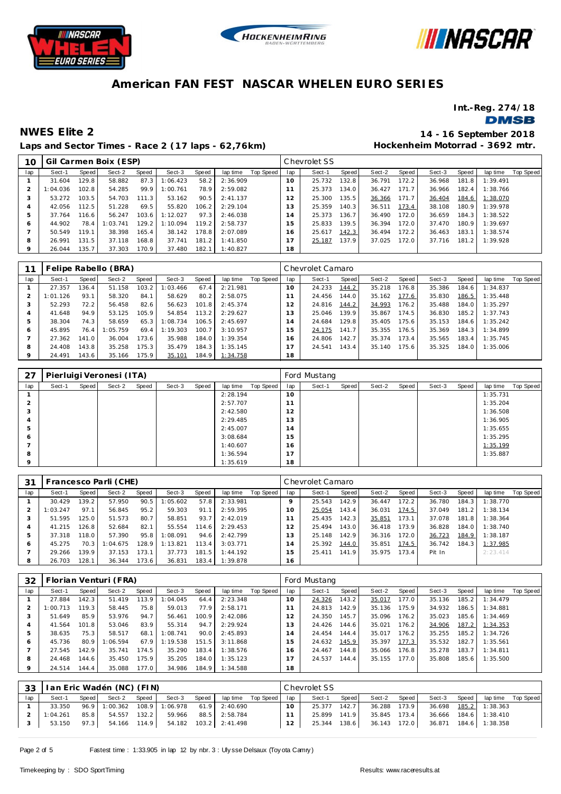





**Int.-Reg. 274/18**

**DMSB** 

**Laps and Sector Times - Race 2 (17 laps - 62,76km)**

**NWES Elite 2 14 - 16 September 2018 Hockenheim Motorrad - 3692 mtr.**

| 10  |          |       | Gil Carmen Boix (ESP) |       |          |       |          |           |                   | Chevrolet SS |       |        |       |        |       |          |           |
|-----|----------|-------|-----------------------|-------|----------|-------|----------|-----------|-------------------|--------------|-------|--------|-------|--------|-------|----------|-----------|
| lap | Sect-1   | Speed | Sect-2                | Speed | Sect-3   | Speed | lap time | Top Speed | lap               | Sect-1       | Speed | Sect-2 | Speed | Sect-3 | Speed | lap time | Top Speed |
|     | 31.604   | 129.8 | 58.882                | 87.3  | 1:06.423 | 58.2  | 2:36.909 |           | 10                | 25.732       | 132.8 | 36.791 | 172.2 | 36.968 | 181.8 | 1:39.491 |           |
|     | 1:04.036 | 102.8 | 54.285                | 99.9  | 1:00.761 | 78.9  | 2:59.082 |           |                   | 25.373       | 134.0 | 36.427 | 171.7 | 36.966 | 182.4 | 1:38.766 |           |
|     | 53.272   | 103.5 | 54.703                | 111.3 | 53.162   | 90.5  | 2:41.137 |           | $12 \overline{ }$ | 25.300       | 135.5 | 36.366 | 171.7 | 36.404 | 184.6 | 1:38.070 |           |
|     | 42.056   | 112.5 | 51.228                | 69.5  | 55.820   | 106.2 | 2:29.104 |           | 13                | 25.359       | 140.3 | 36.511 | 173.4 | 38.108 | 180.9 | 1:39.978 |           |
| 5   | 37.764   | 116.6 | 56.247                | 103.6 | 1:12.027 | 97.3  | 2:46.038 |           | 14                | 25.373       | 136.7 | 36.490 | 172.0 | 36.659 | 184.3 | 1:38.522 |           |
| 6   | 44.902   | 78.4  | 1:03.741              | 129.2 | 1:10.094 | 119.2 | 2:58.737 |           | 15                | 25.833       | 139.5 | 36.394 | 172.0 | 37.470 | 180.9 | 1:39.697 |           |
|     | 50.549   | 119.1 | 38.398                | 165.4 | 38.142   | 178.8 | 2:07.089 |           | 16                | 25.617       | 142.3 | 36.494 | 172.2 | 36.463 | 183.1 | 1:38.574 |           |
| 8   | 26.991   | 131.5 | 37.118                | 168.8 | 37.741   | 181.2 | 1:41.850 |           | 17                | 25.187       | 137.9 | 37.025 | 172.0 | 37.716 | 181.2 | 1:39.928 |           |
|     | 26.044   | 135.7 | 37.303                | 170.9 | 37.480   | 182.1 | 1:40.827 |           | 18                |              |       |        |       |        |       |          |           |
|     |          |       |                       |       |          |       |          |           |                   |              |       |        |       |        |       |          |           |

|         | Felipe Rabello (BRA)<br>Speed<br>Speed<br>Sect-2<br>lap time<br>Sect-3<br>Speed<br>Sect-1<br>136.4<br>27.357<br>51.158<br>103.2<br>67.4<br>2:21.981<br>1:03.466<br>93.1<br>84.1<br>1:01.126<br>58.320<br>58.629<br>80.2<br>2:58.075<br>72.2<br>56.458<br>52.293<br>82.6<br>56.623<br>101.8<br>2:45.374 |       |          |       |          |       |          |           |                 | Chevrolet Camaro |       |        |       |        |       |          |           |
|---------|--------------------------------------------------------------------------------------------------------------------------------------------------------------------------------------------------------------------------------------------------------------------------------------------------------|-------|----------|-------|----------|-------|----------|-----------|-----------------|------------------|-------|--------|-------|--------|-------|----------|-----------|
| lap     |                                                                                                                                                                                                                                                                                                        |       |          |       |          |       |          | Top Speed | lap             | Sect-1           | Speed | Sect-2 | Speed | Sect-3 | Speed | lap time | Top Speed |
|         |                                                                                                                                                                                                                                                                                                        |       |          |       |          |       |          |           | 10 <sup>°</sup> | 24.233           | 144.2 | 35.218 | 176.8 | 35.386 | 184.6 | 1:34.837 |           |
|         |                                                                                                                                                                                                                                                                                                        |       |          |       |          |       |          |           |                 | 24.456           | 144.0 | 35.162 | 177.6 | 35.830 | 186.5 | 1:35.448 |           |
| 3       |                                                                                                                                                                                                                                                                                                        |       |          |       |          |       |          |           |                 | 24.816           | 144.2 | 34.993 | 176.2 | 35.488 | 184.0 | 1:35.297 |           |
|         | 41.648                                                                                                                                                                                                                                                                                                 | 94.9  | 53.125   | 105.9 | 54.854   | 113.2 | 2:29.627 |           | 13              | 25.046           | 139.9 | 35.867 | 174.5 | 36.830 | 185.2 | 1:37.743 |           |
| 5       | 38.304                                                                                                                                                                                                                                                                                                 | 74.3  | 58.659   | 65.3  | 1:08.734 | 106.5 | 2:45.697 |           | 14              | 24.684           | 129.8 | 35.405 | 175.6 | 35.153 | 184.6 | 1:35.242 |           |
| O       | 45.895                                                                                                                                                                                                                                                                                                 | 76.4  | 1:05.759 | 69.4  | 1:19.303 | 100.7 | 3:10.957 |           | 15              | 24.175           | 141.7 | 35.355 | 176.5 | 35.369 | 184.3 | 1:34.899 |           |
|         | 27.362                                                                                                                                                                                                                                                                                                 | 141.0 | 36.004   | 173.6 | 35.988   | 184.0 | 1:39.354 |           | 16              | 24.806           | 142.7 | 35.374 | 173.4 | 35.565 | 183.4 | 1:35.745 |           |
| 8       | 24.408                                                                                                                                                                                                                                                                                                 | 143.8 | 35.258   | 175.3 | 35.479   | 184.3 | 1:35.145 |           |                 | 24.541           | 143.4 | 35.140 | 175.6 | 35.325 | 184.0 | 1:35.006 |           |
| $\circ$ | 24.491                                                                                                                                                                                                                                                                                                 | 143.6 | 35.166   | 175.9 | 35.101   | 184.9 | 1:34.758 |           | 18              |                  |       |        |       |        |       |          |           |

| 27      |        |       | Pierluigi Veronesi (ITA) |       |        |       |          |           |      | Ford Mustang |       |        |       |        |       |          |           |
|---------|--------|-------|--------------------------|-------|--------|-------|----------|-----------|------|--------------|-------|--------|-------|--------|-------|----------|-----------|
| lap     | Sect-1 | Speed | Sect-2                   | Speed | Sect-3 | Speed | lap time | Top Speed | lap  | Sect-1       | Speed | Sect-2 | Speed | Sect-3 | Speed | lap time | Top Speed |
|         |        |       |                          |       |        |       | 2:28.194 |           | 10   |              |       |        |       |        |       | 1:35.731 |           |
| 2       |        |       |                          |       |        |       | 2:57.707 |           | -1.1 |              |       |        |       |        |       | 1:35.204 |           |
| 3       |        |       |                          |       |        |       | 2:42.580 |           | 12   |              |       |        |       |        |       | 1:36.508 |           |
| 4       |        |       |                          |       |        |       | 2:29.485 |           | 13   |              |       |        |       |        |       | 1:36.905 |           |
| b.      |        |       |                          |       |        |       | 2:45.007 |           | 14   |              |       |        |       |        |       | 1:35.655 |           |
| 6       |        |       |                          |       |        |       | 3:08.684 |           | 15   |              |       |        |       |        |       | 1:35.295 |           |
|         |        |       |                          |       |        |       | 1:40.607 |           | 16   |              |       |        |       |        |       | 1:35.199 |           |
| 8       |        |       |                          |       |        |       | 1:36.594 |           | 17   |              |       |        |       |        |       | 1:35.887 |           |
| $\circ$ |        |       |                          |       |        |       | 1:35.619 |           | 18   |              |       |        |       |        |       |          |           |

| 31  |          |                    | Francesco Parli (CHE) |       |          |       |          |           |     | Chevrolet Camaro |       |        |       |        |       |           |           |
|-----|----------|--------------------|-----------------------|-------|----------|-------|----------|-----------|-----|------------------|-------|--------|-------|--------|-------|-----------|-----------|
| lap | Sect-1   | Speed              | Sect-2                | Speed | Sect-3   | Speed | lap time | Top Speed | lap | Sect-1           | Speed | Sect-2 | Speed | Sect-3 | Speed | lap time  | Top Speed |
|     | 30.429   | 139.2              | 57.950                | 90.5  | 1:05.602 | 57.8  | 2:33.981 |           |     | 25.543           | 142.9 | 36.447 | 172.2 | 36.780 | 184.3 | 1:38.770  |           |
|     | 1:03.247 | 97.1               | 56.845                | 95.2  | 59.303   | 91.1  | 2:59.395 |           | 10  | 25.054           | 143.4 | 36.031 | 174.5 | 37.049 | 181.2 | 1:38.134  |           |
|     | 51.595   | 125.0              | 51.573                | 80.7  | 58.851   | 93.7  | 2:42.019 |           |     | 25.435           | 142.3 | 35.851 | 173.1 | 37.078 | 181.8 | 1:38.364  |           |
|     | 41.215   | 126.8 <sub>1</sub> | 52.684                | 82.1  | 55.554   | 114.6 | 2:29.453 |           |     | 25.494           | 143.0 | 36.418 | 173.9 | 36.828 | 184.0 | 1:38.740  |           |
| 5   | 37.318   | 118.0              | 57.390                | 95.8  | 1:08.091 | 94.6  | 2:42.799 |           | 13  | 25.148           | 142.9 | 36.316 | 172.0 | 36.723 | 184.9 | 1:38.187  |           |
| O   | 45.275   | 70.3               | 1:04.675              | 128.9 | 1:13.821 | 113.4 | 3:03.771 |           | 14  | 25.392           | 144.0 | 35.851 | 174.5 | 36.742 | 184.3 | 1:37.985  |           |
|     | 29.266   | 139.9              | 37.153                | 173.1 | 37.773   | 181.5 | 1:44.192 |           | 15  | 25.411           | 141.9 | 35.975 | 173.4 | Pit In |       | 2: 23.414 |           |
| 8   | 26.703   | 128.1              | 36.344                | 173.6 | 36.831   | 183.4 | 1:39.878 |           | 16  |                  |       |        |       |        |       |           |           |

| 32      |          |       | Florian Venturi (FRA) |       |          |       |          |           |     | Ford Mustang |       |        |       |        |       |          |           |
|---------|----------|-------|-----------------------|-------|----------|-------|----------|-----------|-----|--------------|-------|--------|-------|--------|-------|----------|-----------|
| lap     | Sect-1   | Speed | Sect-2                | Speed | Sect-3   | Speed | lap time | Top Speed | lap | Sect-1       | Speed | Sect-2 | Speed | Sect-3 | Speed | lap time | Top Speed |
|         | 27.884   | 142.3 | 51.419                | 113.9 | 1:04.045 | 64.4  | 2:23.348 |           | 10  | 24.326       | 143.2 | 35.017 | 177.0 | 35.136 | 185.2 | 1:34.479 |           |
|         | 1:00.713 | 119.3 | 58.445                | 75.8  | 59.013   | 77.9  | 2:58.171 |           |     | 24.813       | 142.9 | 35.136 | 175.9 | 34.932 | 186.5 | 1:34.881 |           |
| 3       | 51.649   | 85.9  | 53.976                | 94.7  | 56.461   | 100.9 | 2:42.086 |           | 12  | 24.350       | 145.7 | 35.096 | 176.2 | 35.023 | 185.6 | 1:34.469 |           |
| 4       | 41.564   | 101.8 | 53.046                | 83.9  | 55.314   | 94.7  | 2:29.924 |           | 13  | 24.426       | 144.6 | 35.021 | 176.2 | 34.906 | 187.2 | 1:34.353 |           |
| 5       | 38.635   | 75.3  | 58.517                | 68.1  | 1:08.741 | 90.0  | 2:45.893 |           | 14  | 24.454       | 144.4 | 35.017 | 176.2 | 35.255 | 185.2 | 1:34.726 |           |
| 6       | 45.736   | 80.9  | 1:06.594              | 67.9  | 1:19.538 | 151.5 | 3:11.868 |           | 15  | 24.632       | 145.9 | 35.397 | 177.3 | 35.532 | 182.7 | 1:35.561 |           |
|         | 27.545   | 142.9 | 35.741                | 174.5 | 35.290   | 183.4 | 1:38.576 |           | 16  | 24.467       | 144.8 | 35.066 | 176.8 | 35.278 | 183.7 | 1:34.811 |           |
| 8       | 24.468   | 144.6 | 35.450                | 175.9 | 35.205   | 184.0 | 1:35.123 |           |     | 24.537       | 144.4 | 35.155 | 177.0 | 35.808 | 185.6 | 1:35.500 |           |
| $\circ$ | 24.514   | 144.4 | 35.088                | 177.0 | 34.986   | 184.9 | 1:34.588 |           | 18  |              |       |        |       |        |       |          |           |

| 33  |          |       | lan Eric Wadén (NC) (FIN) |              |          |       |                       |             |     | Chevrolet SS |       |              |       |        |       |                |           |
|-----|----------|-------|---------------------------|--------------|----------|-------|-----------------------|-------------|-----|--------------|-------|--------------|-------|--------|-------|----------------|-----------|
| lap | Sect-1   | Speed | Sect-2                    | <b>Speed</b> | Sect-3   | Speed | lap time              | Top Speed I | lap | Sect-1       | Speed | Sect-2       | Speed | Sect-3 | Speed | lap time       | Top Speed |
|     | 33.350   | 96.9  | 1:00.362                  | 108.9        | 1:06.978 | 61.9  | 2:40.690              |             |     | 25.377       | 142.7 | 36.288       | 173.9 | 36.698 | 185.2 | 1:38.363       |           |
|     | 1:04.261 | 85.8  | 54.557                    | 132.2        | 59.966   | 88.5  | 2:58.784              |             |     | 25.899       | 141.9 | 35.845       | 173.4 | 36.666 | 184.6 | 1:38.410       |           |
|     | 53.150   | 97.3  | 54.166                    | 114.9        |          |       | 54.182 103.2 2:41.498 |             |     | 25.344       | 138.6 | 36.143 172.0 |       | 36.871 |       | 184.6 1:38.358 |           |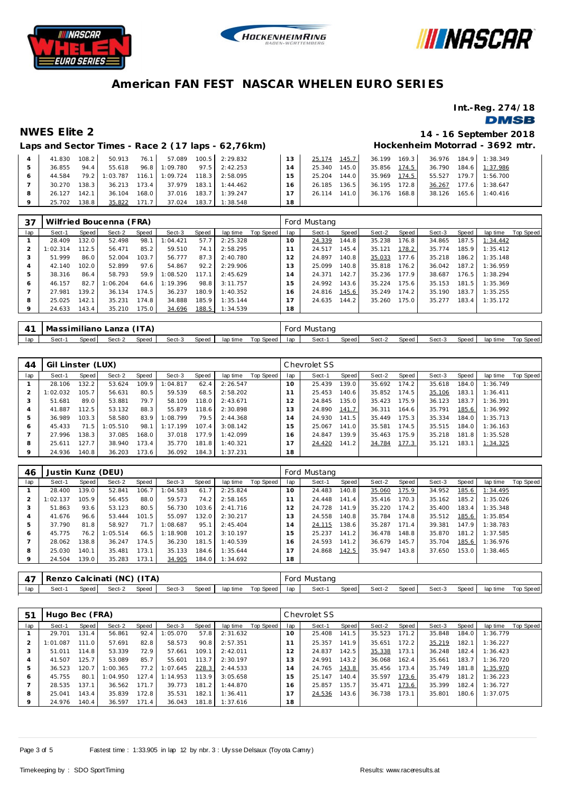





**Int.-Reg. 274/18**

## **DMSB**

## **NWES Elite 2 14 - 16 September 2018**

# **Hockenheim Motorrad - 3692 mtr.**

|         |        |       |          |       |                               |       | Laps and Sector Times - Race 2 (17 laps - 62,76km) |    |                 |                 |              | Hockenheim Motorrad - 3692 mtr |
|---------|--------|-------|----------|-------|-------------------------------|-------|----------------------------------------------------|----|-----------------|-----------------|--------------|--------------------------------|
|         | 41.830 | 108.2 | 50.913   | 76.1  | 57.089                        |       | 100.5 2:29.832                                     | 13 | 145.7<br>25.174 | 169.3<br>36.199 |              | 36.976 184.9 1:38.349          |
| 5       | 36.855 | 94.4  | 55.618   |       | 96.8 1:09.780                 |       | $97.5$ 2:42.253                                    | 14 | 145.0<br>25.340 | 35.856 174.5    | 36.790 184.6 | 1:37.986                       |
| 6       | 44.584 | 79.2  | 1:03.787 |       | 116.1 1:09.724 118.3 2:58.095 |       |                                                    | 15 | 144.0<br>25.204 | 35.969<br>174.5 | 55.527       | 1:56.700<br>179.7              |
|         | 30.270 | 138.3 | 36.213   | 173.4 | 37.979                        |       | $183.1$ 1:44.462                                   | 16 | 136.5<br>26.185 | 36.195<br>172.8 | 36.267       | 177.6<br>1:38.647              |
| 8       | 26.127 | 142.1 | 36.104   | 168.0 | 37.016                        | 183.7 | 1:39.247                                           |    | 141.0<br>26.114 | 168.8<br>36.176 | 38.126       | 165.6<br>1:40.416              |
| $\circ$ | 25.702 | 138.8 | 35.822   | 171.7 | 37.024                        | 183.7 | 1:38.548                                           | 18 |                 |                 |              |                                |

| 37      |          |       | Wilfried Boucenna (FRA) |       |          |       |          |           |                 | Ford Mustang |       |        |       |        |       |          |           |
|---------|----------|-------|-------------------------|-------|----------|-------|----------|-----------|-----------------|--------------|-------|--------|-------|--------|-------|----------|-----------|
| lap     | Sect-1   | Speed | Sect-2                  | Speed | Sect-3   | Speed | lap time | Top Speed | lap             | Sect-1       | Speed | Sect-2 | Speed | Sect-3 | Speed | lap time | Top Speed |
|         | 28.409   | 132.0 | 52.498                  | 98.   | 1:04.421 | 57.7  | 2:25.328 |           | 10 <sup>°</sup> | 24.339       | 144.8 | 35.238 | 176.8 | 34.865 | 187.5 | 1:34.442 |           |
|         | 1:02.314 | 112.5 | 56.471                  | 85.2  | 59.510   | 74.1  | 2:58.295 |           |                 | 24.517       | 145.4 | 35.121 | 178.2 | 35.774 | 185.9 | 1:35.412 |           |
| 3       | 51.999   | 86.0  | 52.004                  | 103.7 | 56.777   | 87.3  | 2:40.780 |           | $\overline{2}$  | 24.897       | 140.8 | 35.033 | 177.6 | 35.218 | 186.2 | 1:35.148 |           |
| 4       | 42.140   | 102.0 | 52.899                  | 97.6  | 54.867   | 92.2  | 2:29.906 |           | 3               | 25.099       | 140.8 | 35.818 | 176.2 | 36.042 | 187.2 | 1:36.959 |           |
| 5       | 38.316   | 86.4  | 58.793                  | 59.9  | 1:08.520 | 117.1 | 2:45.629 |           | $\overline{A}$  | 24.371       | 142.7 | 35.236 | 177.9 | 38.687 | 176.5 | 1:38.294 |           |
| 6       | 46.157   | 82.7  | :06.204                 | 64.6  | 1:19.396 | 98.8  | 3:11.757 |           | 5               | 24.992       | 143.6 | 35.224 | 175.6 | 35.153 | 181.5 | 1:35.369 |           |
|         | 27.981   | 139.2 | 36.134                  | 174.5 | 36.237   | 180.9 | 1:40.352 |           | 6               | 24.816       | 145.6 | 35.249 | 174.2 | 35.190 | 183.7 | 1:35.255 |           |
| 8       | 25.025   | 142.1 | 35.231                  | 174.8 | 34.888   | 185.9 | 1:35.144 |           |                 | 24.635       | 144.2 | 35.260 | 175.0 | 35.277 | 183.4 | 1:35.172 |           |
| $\circ$ | 24.633   | 143.4 | 35.210                  | 175.0 | 34.696   | 188.5 | 1:34.539 |           | 18              |              |       |        |       |        |       |          |           |

| -41 | Massimiliano Lanza (ITA) |       |        |       |        |       |          |           |     | Ford Mustang |         |        |       |        |       |          |           |
|-----|--------------------------|-------|--------|-------|--------|-------|----------|-----------|-----|--------------|---------|--------|-------|--------|-------|----------|-----------|
| lap | Sect-1                   | Speed | Sect-2 | Speed | Sect-3 | Speed | lap time | Top Speed | lan | Sect-1       | Speed I | Sect-2 | Speed | Sect-3 | Speed | lap time | Top Speed |

| 44      | Gil Linster (LUX) |       |          |       |          |       |          |           |                | Chevrolet SS |       |        |       |        |       |          |           |
|---------|-------------------|-------|----------|-------|----------|-------|----------|-----------|----------------|--------------|-------|--------|-------|--------|-------|----------|-----------|
| lap     | Sect-1            | Speed | Sect-2   | Speed | Sect-3   | Speed | lap time | Top Speed | lap            | Sect-1       | Speed | Sect-2 | Speed | Sect-3 | Speed | lap time | Top Speed |
|         | 28.106            | 132.2 | 53.624   | 109.9 | 1:04.817 | 62.4  | 2:26.547 |           | $10^{-}$       | 25.439       | 139.0 | 35.692 | 174.2 | 35.618 | 184.0 | 1:36.749 |           |
|         | 1:02.032          | 105.7 | 56.631   | 80.5  | 59.539   | 68.5  | 2:58.202 |           |                | 25.453       | 140.6 | 35.852 | 174.5 | 35.106 | 183.1 | 1:36.411 |           |
| -3      | 51.681            | 89.0  | 53.881   | 79.7  | 58.109   | 118.0 | 2:43.671 |           | 12             | 24.845       | 135.0 | 35.423 | 175.9 | 36.123 | 183.7 | 1:36.391 |           |
|         | 41.887            | 112.5 | 53.132   | 88.3  | 55.879   | 118.6 | 2:30.898 |           | 13             | 24.890       | 141.7 | 36.311 | 164.6 | 35.791 | 185.6 | 1:36.992 |           |
|         | 36.989            | 103.3 | 58.580   | 83.9  | 1:08.799 | 79.5  | 2:44.368 |           | $\overline{4}$ | 24.930       | 141.5 | 35.449 | 175.3 | 35.334 | 184.0 | 1:35.713 |           |
| Ô       | 45.433            | 71.5  | 1:05.510 | 98.1  | 1:17.199 | 107.4 | 3:08.142 |           | 15             | 25.067       | 141.0 | 35.581 | 174.5 | 35.515 | 184.0 | 1:36.163 |           |
|         | 27.996            | 138.3 | 37.085   | 168.0 | 37.018   | 177.9 | 1:42.099 |           | 16             | 24.847       | 139.9 | 35.463 | 175.9 | 35.218 | 181.8 | 1:35.528 |           |
| 8       | 25.611            | 127.7 | 38.940   | 173.4 | 35.770   | 181.8 | 1:40.321 |           |                | 24.420       | 141.2 | 34.784 | 177.3 | 35.121 | 183.1 | 1:34.325 |           |
| $\circ$ | 24.936            | 140.8 | 36.203   | 173.6 | 36.092   | 184.3 | 1:37.231 |           | 18             |              |       |        |       |        |       |          |           |

| 46      | Justin Kunz (DEU) |       |          |       |          |       |          |           |     | Ford Mustang |       |        |       |        |       |          |           |
|---------|-------------------|-------|----------|-------|----------|-------|----------|-----------|-----|--------------|-------|--------|-------|--------|-------|----------|-----------|
| lap     | Sect-1            | Speed | Sect-2   | Speed | Sect-3   | Speed | lap time | Top Speed | lap | Sect-1       | Speed | Sect-2 | Speed | Sect-3 | Speed | lap time | Top Speed |
|         | 28.400            | 139.0 | 52.841   | 106.7 | 1:04.583 | 61.7  | 2:25.824 |           | 10  | 24.483       | 140.8 | 35.060 | 175.9 | 34.952 | 185.6 | 1:34.495 |           |
|         | 1:02.137          | 105.9 | 56.455   | 88.0  | 59.573   | 74.2  | 2:58.165 |           |     | 24.448       | 141.4 | 35.416 | 170.3 | 35.162 | 185.2 | 1:35.026 |           |
| 3       | 51.863            | 93.6  | 53.123   | 80.5  | 56.730   | 103.6 | 2:41.716 |           | 12  | 24.728       | 141.9 | 35.220 | 174.2 | 35.400 | 183.4 | 1:35.348 |           |
|         | 41.676            | 96.6  | 53.444   | 101.5 | 55.097   | 132.0 | 2:30.217 |           | 13  | 24.558       | 140.8 | 35.784 | 174.8 | 35.512 | 185.6 | 1:35.854 |           |
| 5       | 37.790            | 81.8  | 58.927   | 71.7  | 1:08.687 | 95.1  | 2:45.404 |           | 14  | 24.115       | 138.6 | 35.287 | 171.4 | 39.381 | 147.9 | 1:38.783 |           |
| Ô       | 45.775            | 76.2  | 1:05.514 | 66.5  | 1:18.908 | 101.2 | 3:10.197 |           | 15  | 25.237       | 141.2 | 36.478 | 148.8 | 35.870 | 181.2 | 1:37.585 |           |
|         | 28.062            | 138.8 | 36.247   | 174.5 | 36.230   | 181.5 | 1:40.539 |           | 16  | 24.593       | 141.2 | 36.679 | 145.7 | 35.704 | 185.6 | 1:36.976 |           |
| 8       | 25.030            | 140.1 | 35.481   | 173.1 | 35.133   | 184.6 | 1:35.644 |           |     | 24.868       | 142.5 | 35.947 | 143.8 | 37.650 | 153.0 | 1:38.465 |           |
| $\circ$ | 24.504            | 139.0 | 35.283   | 173.1 | 34.905   | 184.0 | 1:34.692 |           | 18  |              |       |        |       |        |       |          |           |
|         |                   |       |          |       |          |       |          |           |     |              |       |        |       |        |       |          |           |

| 47  | Renzo Calcinati (NC) (ITA) |       |        |       |        |       |          |           | Ford | Mustang |       |        |       |        |       |          |           |
|-----|----------------------------|-------|--------|-------|--------|-------|----------|-----------|------|---------|-------|--------|-------|--------|-------|----------|-----------|
| lap | Sect-1                     | Speed | Sect-2 | Speed | Sect-3 | Speed | lap time | Top Speed | lap  | Sect-1  | Speed | Sect-2 | Speed | Sect-3 | Speed | lap time | Top Speed |

| 5 <sup>1</sup> | Hugo Bec (FRA) |       |         |       |          |       |          |           |               | Chevrolet SS |       |        |       |        |       |          |           |
|----------------|----------------|-------|---------|-------|----------|-------|----------|-----------|---------------|--------------|-------|--------|-------|--------|-------|----------|-----------|
| lap            | Sect-1         | Speed | Sect-2  | Speed | Sect-3   | Speed | lap time | Top Speed | lap           | Sect-1       | Speed | Sect-2 | Speed | Sect-3 | Speed | lap time | Top Speed |
|                | 29.701         | 131.4 | 56.861  | 92.4  | : 05.070 | 57.8  | 2:31.632 |           | 10            | 25.408       | 141.5 | 35.523 | 171.2 | 35.848 | 184.0 | 1:36.779 |           |
| 2              | 1:01.087       | 111.0 | 57.691  | 82.8  | 58.573   | 90.8  | 2:57.351 |           |               | 25.357       | 141.9 | 35.651 | 172.2 | 35.219 | 182.1 | 1:36.227 |           |
| 3              | 51.011         | 114.8 | 53.339  | 72.9  | 57.661   | 109.1 | 2:42.011 |           | $\mathcal{P}$ | 24.837       | 142.5 | 35.338 | 173.1 | 36.248 | 182.4 | 1:36.423 |           |
| 4              | 41.507         | 125.7 | 53.089  | 85.7  | 55.601   | 113.7 | 2:30.197 |           | . 3           | 24.991       | 143.2 | 36.068 | 162.4 | 35.661 | 183.7 | 1:36.720 |           |
| 5              | 36.523         | 120.7 | :00.365 | 77.2  | 1:07.645 | 228.3 | 2:44.533 |           | 4             | 24.765       | 143.8 | 35.456 | 173.4 | 35.749 | 181.8 | 1:35.970 |           |
| 6              | 45.755         | 80.1  | :04.950 | 127.4 | 1:14.953 | 113.9 | 3:05.658 |           | 5             | 25.147       | 140.4 | 35.597 | 173.6 | 35.479 | 181.2 | 1:36.223 |           |
|                | 28.535         | 137.1 | 36.562  | 171.7 | 39.773   | 181.2 | 1:44.870 |           | 6             | 25.857       | 135.7 | 35.471 | 173.6 | 35.399 | 182.4 | 1:36.727 |           |
| 8              | 25.041         | 143.4 | 35.839  | 172.8 | 35.531   | 182.1 | 1:36.411 |           |               | 24.536       | 143.6 | 36.738 | 173.1 | 35.801 | 180.6 | 1:37.075 |           |
| $\circ$        | 24.976         | 140.4 | 36.597  | 171.4 | 36.043   | 181.8 | 1:37.616 |           | 18            |              |       |        |       |        |       |          |           |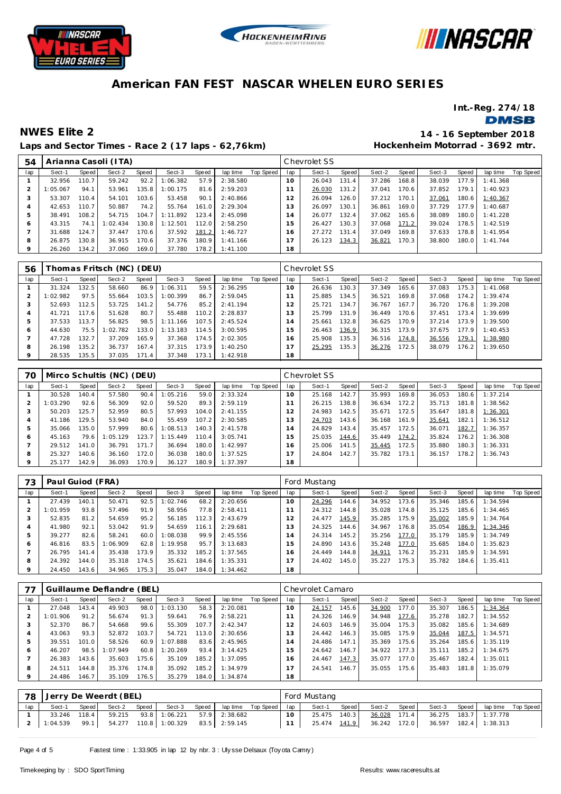





**Int.-Reg. 274/18**

### **DMSB**

## **Laps and Sector Times - Race 2 (17 laps - 62,76km)**

**NWES Elite 2 14 - 16 September 2018 Hockenheim Motorrad - 3692 mtr.**

| 54             |          |       | Arianna Casoli (ITA) |       |          |       |          |           |     | Chevrolet SS |       |        |       |        |       |           |           |
|----------------|----------|-------|----------------------|-------|----------|-------|----------|-----------|-----|--------------|-------|--------|-------|--------|-------|-----------|-----------|
| lap            | Sect-1   | Speed | Sect-2               | Speed | Sect-3   | Speed | lap time | Top Speed | lap | Sect-1       | Speed | Sect-2 | Speed | Sect-3 | Speed | lap time  | Top Speed |
|                | 32.956   | 110.7 | 59.242               | 92.2  | 1:06.382 | 57.9  | 2:38.580 |           | 10  | 26.043       | 131.4 | 37.286 | 168.8 | 38.039 | 177.9 | 1:41.368  |           |
| $\overline{2}$ | 1:05.067 | 94.1  | 53.961               | 135.8 | 1:00.175 | 81.6  | 2:59.203 |           |     | 26.030       | 131.2 | 37.041 | 170.6 | 37.852 | 179.1 | 1:40.923  |           |
| 3              | 53.307   | 110.4 | 54.101               | 103.6 | 53.458   | 90.1  | 2:40.866 |           | 12  | 26.094       | 126.0 | 37.212 | 170.1 | 37.061 | 180.6 | 1:40.367  |           |
| 4              | 42.653   | 110.7 | 50.887               | 74.2  | 55.764   | 161.0 | 2:29.304 |           | 13  | 26.097       | 130.1 | 36.861 | 169.0 | 37.729 | 177.9 | 1:40.687  |           |
| 5              | 38.491   | 108.2 | 54.715               | 104.7 | 1:11.892 | 123.4 | 2:45.098 |           | 14  | 26.077       | 132.4 | 37.062 | 165.6 | 38.089 | 180.0 | 1:41.228  |           |
| 6              | 43.315   | 74.1  | 1:02.434             | 130.8 | 1:12.501 | 112.0 | 2:58.250 |           | 15  | 26.427       | 130.3 | 37.068 | 171.2 | 39.024 | 178.5 | 1:42.519  |           |
|                | 31.688   | 124.7 | 37.447               | 170.6 | 37.592   | 181.2 | 1:46.727 |           | 16  | 27.272       | 131.4 | 37.049 | 169.8 | 37.633 | 178.8 | 1:41.954  |           |
| 8              | 26.875   | 130.8 | 36.915               | 170.6 | 37.376   | 180.9 | 1:41.166 |           | 17  | 26.123       | 134.3 | 36.821 | 170.3 | 38.800 | 180.0 | 1: 41.744 |           |
| 9              | 26.260   | 134.2 | 37.060               | 169.0 | 37.780   | 178.2 | 1:41.100 |           | 18  |              |       |        |       |        |       |           |           |
|                |          |       |                      |       |          |       |          |           |     |              |       |        |       |        |       |           |           |

| 56      |          |         | Thomas Fritsch (NC) (DEU) |       |          |       |          |           |     | Chevrolet SS |       |        |       |        |       |          |                  |
|---------|----------|---------|---------------------------|-------|----------|-------|----------|-----------|-----|--------------|-------|--------|-------|--------|-------|----------|------------------|
| lap     | Sect-1   | Speed ! | Sect-2                    | Speed | Sect-3   | Speed | lap time | Top Speed | lap | Sect-1       | Speed | Sect-2 | Speed | Sect-3 | Speed | lap time | <b>Top Speed</b> |
|         | 31.324   | 132.5   | 58.660                    | 86.9  | 1:06.311 | 59.5  | 2:36.295 |           | 10  | 26.636       | 130.3 | 37.349 | 165.6 | 37.083 | 175.3 | 1:41.068 |                  |
|         | 1:02.982 | 97.5    | 55.664                    | 103.5 | 1:00.399 | 86.7  | 2:59.045 |           |     | 25.885       | 134.5 | 36.521 | 169.8 | 37.068 | 174.2 | 1:39.474 |                  |
| 3       | 52.693   | 112.5   | 53.725                    | 141.2 | 54.776   | 85.2  | 2:41.194 |           |     | 25.721       | 134.7 | 36.767 | 167.7 | 36.720 | 176.8 | 1:39.208 |                  |
|         | 41.721   | 117.6   | 51.628                    | 80.7  | 55.488   | 110.2 | 2:28.837 |           | 3   | 25.799       | 131.9 | 36.449 | 170.6 | 37.451 | 173.4 | 1:39.699 |                  |
| 5       | 37.533   | 113.7   | 56.825                    | 98.5  | 1:11.166 | 107.5 | 2:45.524 |           | 14  | 25.661       | 132.8 | 36.625 | 170.9 | 37.214 | 173.9 | 1:39.500 |                  |
| O       | 44.630   | 75.5    | : 02.782                  | 133.0 | 1:13.183 | 114.5 | 3:00.595 |           | -5  | 26.463       | 136.9 | 36.315 | 173.9 | 37.675 | 177.9 | 1:40.453 |                  |
|         | 47.728   | 132.7   | 37.209                    | 165.9 | 37.368   | 174.5 | 2:02.305 |           | 16  | 25.908       | 135.3 | 36.516 | 174.8 | 36.556 | 179.1 | 1:38.980 |                  |
| 8       | 26.198   | 135.2   | 36.737                    | 167.4 | 37.315   | 173.9 | 1:40.250 |           |     | 25.295       | 135.3 | 36.276 | 172.5 | 38.079 | 176.2 | 1:39.650 |                  |
| $\circ$ | 28.535   | 135.5   | 37.035                    | 171.4 | 37.348   | 173.1 | 1:42.918 |           | 18  |              |       |        |       |        |       |          |                  |

| 70      |          |       | Mirco Schultis (NC) (DEU) |       |          |       |          |           |                | Chevrolet SS |       |        |       |        |       |          |           |
|---------|----------|-------|---------------------------|-------|----------|-------|----------|-----------|----------------|--------------|-------|--------|-------|--------|-------|----------|-----------|
| lap     | Sect-1   | Speed | Sect-2                    | Speed | Sect-3   | Speed | lap time | Top Speed | lap            | Sect-1       | Speed | Sect-2 | Speed | Sect-3 | Speed | lap time | Top Speed |
|         | 30.528   | 140.4 | 57.580                    | 90.4  | 1:05.216 | 59.0  | 2:33.324 |           | $10^{-}$       | 25.168       | 142.7 | 35.993 | 169.8 | 36.053 | 180.6 | 1:37.214 |           |
|         | 1:03.290 | 92.6  | 56.309                    | 92.0  | 59.520   | 89.3  | 2:59.119 |           |                | 26.215       | 138.8 | 36.634 | 172.2 | 35.713 | 181.8 | 1:38.562 |           |
|         | 50.203   | 125.7 | 52.959                    | 80.5  | 57.993   | 104.0 | 2:41.155 |           | 2              | 24.983       | 142.5 | 35.671 | 172.5 | 35.647 | 181.8 | 1:36.301 |           |
| 4       | 41.186   | 129.5 | 53.940                    | 84.0  | 55.459   | 107.2 | 2:30.585 |           | 3              | 24.703       | 143.6 | 36.168 | 161.9 | 35.641 | 182.1 | 1:36.512 |           |
| 5       | 35.066   | 135.0 | 57.999                    | 80.6  | 1:08.513 | 140.3 | 2:41.578 |           | $\overline{4}$ | 24.829       | 143.4 | 35.457 | 172.5 | 36.071 | 182.7 | 1:36.357 |           |
| 6       | 45.163   | 79.6  | 1:05.129                  | 123.7 | 1:15.449 | 110.4 | 3:05.741 |           | 5              | 25.035       | 144.6 | 35.449 | 174.2 | 35.824 | 176.2 | 1:36.308 |           |
|         | 29.512   | 141.0 | 36.791                    | 171.7 | 36.694   | 180.0 | 1:42.997 |           | 6              | 25.006       | 141.5 | 35.445 | 172.5 | 35.880 | 180.3 | 1:36.331 |           |
| 8       | 25.327   | 140.6 | 36.160                    | 172.0 | 36.038   | 180.0 | 1:37.525 |           |                | 24.804       | 142.7 | 35.782 | 173.1 | 36.157 | 178.2 | 1:36.743 |           |
| $\circ$ | 25.177   | 142.9 | 36.093                    | 170.9 | 36.127   | 180.9 | 1:37.397 |           | 18             |              |       |        |       |        |       |          |           |

| 73  | Paul Guiod (FRA) |       |         |       |          |       |          |           |     | Ford Mustang |       |        |       |        |       |          |           |
|-----|------------------|-------|---------|-------|----------|-------|----------|-----------|-----|--------------|-------|--------|-------|--------|-------|----------|-----------|
| lap | Sect-1           | Speed | Sect-2  | Speed | Sect-3   | Speed | lap time | Top Speed | lap | Sect-1       | Speed | Sect-2 | Speed | Sect-3 | Speed | lap time | Top Speed |
|     | 27.439           | 140.1 | 50.471  | 92.5  | 1:02.746 | 68.2  | 2:20.656 |           | 10  | 24.296       | 144.6 | 34.952 | 173.6 | 35.346 | 185.6 | 1:34.594 |           |
|     | 1:01.959         | 93.8  | 57.496  | 91.9  | 58.956   | 77.8  | 2:58.411 |           |     | 24.312       | 144.8 | 35.028 | 174.8 | 35.125 | 185.6 | 1:34.465 |           |
| 3   | 52.835           | 81.2  | 54.659  | 95.2  | 56.185   | 112.3 | 2:43.679 |           | 12  | 24.477       | 145.9 | 35.285 | 175.9 | 35.002 | 185.9 | 1:34.764 |           |
|     | 41.980           | 92.1  | 53.042  | 91.9  | 54.659   | 116.1 | 2:29.681 |           | 3   | 24.325       | 144.6 | 34.967 | 176.8 | 35.054 | 186.9 | 1:34.346 |           |
| 5   | 39.277           | 82.6  | 58.241  | 60.0  | 1:08.038 | 99.9  | 2:45.556 |           | 14  | 24.314       | 145.2 | 35.256 | 177.0 | 35.179 | 185.9 | 1:34.749 |           |
| 6   | 46.816           | 83.5  | :06.909 | 62.8  | 1:19.958 | 95.7  | 3:13.683 |           | - 5 | 24.890       | 143.6 | 35.248 | 177.0 | 35.685 | 184.0 | 1:35.823 |           |
|     | 26.795           | 141.4 | 35.438  | 173.9 | 35.332   | 185.2 | 1:37.565 |           | 16  | 24.449       | 144.8 | 34.911 | 176.2 | 35.231 | 185.9 | 1:34.591 |           |
| 8   | 24.392           | 144.0 | 35.318  | 174.5 | 35.621   | 184.6 | 1:35.331 |           |     | 24.402       | 145.0 | 35.227 | 175.3 | 35.782 | 184.6 | 1:35.411 |           |
| 9   | 24.450           | 143.6 | 34.965  | 175.3 | 35.047   | 184.0 | 1:34.462 |           | 18  |              |       |        |       |        |       |          |           |

| 77      |          |       | Guillaume Deflandre (BEL) |       |          |       |          |           |     | Chevrolet Camaro |       |        |       |        |       |          |           |
|---------|----------|-------|---------------------------|-------|----------|-------|----------|-----------|-----|------------------|-------|--------|-------|--------|-------|----------|-----------|
| lap     | Sect-1   | Speed | Sect-2                    | Speed | Sect-3   | Speed | lap time | Top Speed | lap | Sect-1           | Speed | Sect-2 | Speed | Sect-3 | Speed | lap time | Top Speed |
|         | 27.048   | 143.4 | 49.903                    | 98.0  | 1:03.130 | 58.3  | 2:20.081 |           | 10  | 24.157           | 145.6 | 34.900 | 177.0 | 35.307 | 186.5 | 1:34.364 |           |
|         | 1:01.906 | 91.2  | 56.674                    | 91.3  | 59.641   | 76.9  | 2:58.221 |           |     | 24.326           | 146.9 | 34.948 | 177.6 | 35.278 | 182.7 | 1:34.552 |           |
|         | 52.370   | 86.7  | 54.668                    | 99.6  | 55.309   | 107.7 | 2:42.347 |           | 12  | 24.603           | 146.9 | 35.004 | 175.3 | 35.082 | 185.6 | 1:34.689 |           |
| 4       | 43.063   | 93.3  | 52.872                    | 103.7 | 54.721   | 113.0 | 2:30.656 |           | 13  | 24.442           | 146.3 | 35.085 | 175.9 | 35.044 | 187.5 | 1:34.571 |           |
| ь       | 39.551   | 101.0 | 58.526                    | 60.9  | 1:07.888 | 83.6  | 2:45.965 |           | 14  | 24.486           | 147.1 | 35.369 | 175.6 | 35.264 | 185.6 | 1:35.119 |           |
| O       | 46.207   | 98.5  | : 07.949                  | 60.8  | 1:20.269 | 93.4  | 3:14.425 |           | 15  | 24.642           | 146.7 | 34.922 | 177.3 | 35.111 | 185.2 | 1:34.675 |           |
|         | 26.383   | 143.6 | 35.603                    | 75.6  | 35.109   | 185.2 | 1:37.095 |           | 16  | 24.467           | 147.3 | 35.077 | 177.0 | 35.467 | 182.4 | 1:35.011 |           |
| 8       | 24.511   | 144.8 | 35.376                    | 174.8 | 35.092   | 185.2 | 1:34.979 |           |     | 24.541           | 146.7 | 35.055 | 175.6 | 35.483 | 181.8 | 1:35.079 |           |
| $\circ$ | 24.486   | 146.7 | 35.109                    | 176.5 | 35.279   | 184.0 | 1:34.874 |           | 18  |                  |       |        |       |        |       |          |           |

| -78 | Jerry De Weerdt (BEL) |       |        |       |                       |  |                             |  |           | Ford Mustang |       |              |  |  |  |                                 |  |  |  |
|-----|-----------------------|-------|--------|-------|-----------------------|--|-----------------------------|--|-----------|--------------|-------|--------------|--|--|--|---------------------------------|--|--|--|
| lap | Sect-1                | Speed | Sect-2 | Speed | Sect-3                |  | Speed laptime Top Speed lap |  |           | Sect-1       | Speed | Sect-2 Speed |  |  |  | Sect-3 Speed lap time Top Speed |  |  |  |
|     | 33.246                | 118.4 |        |       | 59.215 93.8 1:06.221  |  | 57.9 2:38.682               |  | $10^{-7}$ | 25.475 140.3 |       | 36.028 171.4 |  |  |  |                                 |  |  |  |
|     | $1:04.539$ 99.1       |       |        |       | 54.277 110.8 1:00.329 |  | 83.5 2:59.145               |  |           | 25.474 141.9 |       | 36.242 172.0 |  |  |  | 36.597 182.4 1:38.313           |  |  |  |